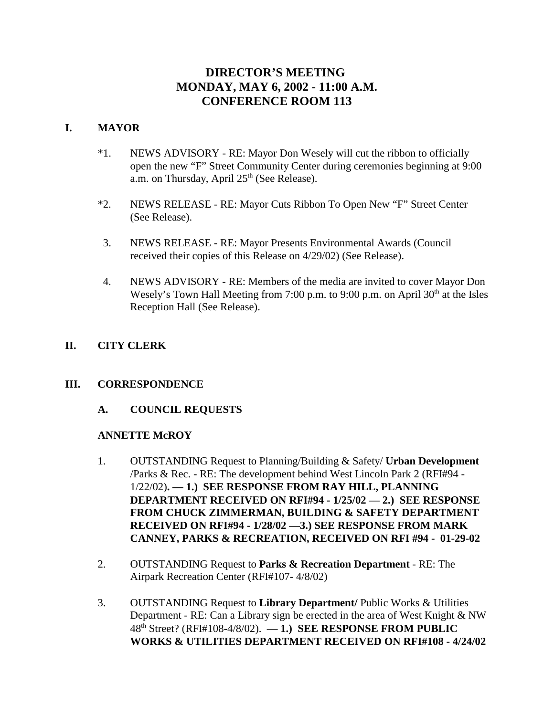# **DIRECTOR'S MEETING MONDAY, MAY 6, 2002 - 11:00 A.M. CONFERENCE ROOM 113**

#### **I. MAYOR**

- \*1. NEWS ADVISORY RE: Mayor Don Wesely will cut the ribbon to officially open the new "F" Street Community Center during ceremonies beginning at 9:00 a.m. on Thursday, April  $25<sup>th</sup>$  (See Release).
- \*2. NEWS RELEASE RE: Mayor Cuts Ribbon To Open New "F" Street Center (See Release).
- 3. NEWS RELEASE RE: Mayor Presents Environmental Awards (Council received their copies of this Release on 4/29/02) (See Release).
- 4. NEWS ADVISORY RE: Members of the media are invited to cover Mayor Don Wesely's Town Hall Meeting from 7:00 p.m. to 9:00 p.m. on April  $30<sup>th</sup>$  at the Isles Reception Hall (See Release).

# **II. CITY CLERK**

#### **III. CORRESPONDENCE**

**A. COUNCIL REQUESTS**

#### **ANNETTE McROY**

- 1. OUTSTANDING Request to Planning/Building & Safety/ **Urban Development** /Parks & Rec. - RE: The development behind West Lincoln Park 2 (RFI#94 - 1/22/02)**. — 1.) SEE RESPONSE FROM RAY HILL, PLANNING DEPARTMENT RECEIVED ON RFI#94 - 1/25/02 — 2.) SEE RESPONSE FROM CHUCK ZIMMERMAN, BUILDING & SAFETY DEPARTMENT RECEIVED ON RFI#94 - 1/28/02 —3.) SEE RESPONSE FROM MARK CANNEY, PARKS & RECREATION, RECEIVED ON RFI #94 - 01-29-02**
- 2. OUTSTANDING Request to **Parks & Recreation Department** RE: The Airpark Recreation Center (RFI#107- 4/8/02)
- 3. OUTSTANDING Request to **Library Department/** Public Works & Utilities Department - RE: Can a Library sign be erected in the area of West Knight & NW 48th Street? (RFI#108-4/8/02). — **1.) SEE RESPONSE FROM PUBLIC WORKS & UTILITIES DEPARTMENT RECEIVED ON RFI#108 - 4/24/02**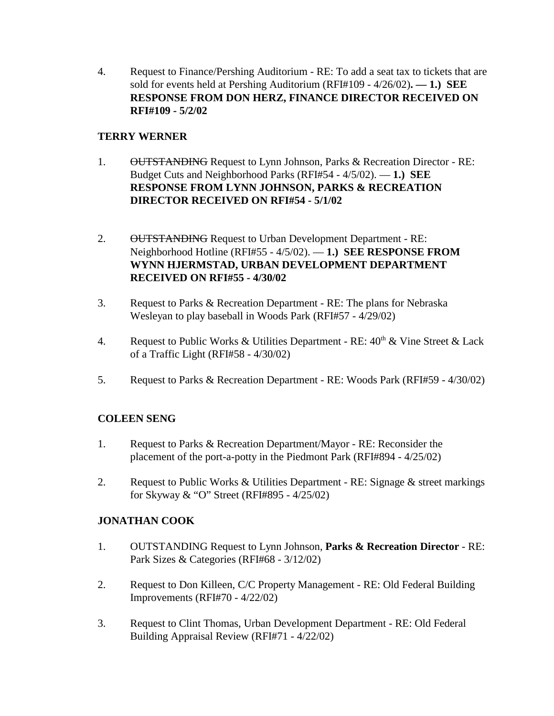4. Request to Finance/Pershing Auditorium - RE: To add a seat tax to tickets that are sold for events held at Pershing Auditorium (RFI#109 - 4/26/02)**. — 1.) SEE RESPONSE FROM DON HERZ, FINANCE DIRECTOR RECEIVED ON RFI#109 - 5/2/02** 

#### **TERRY WERNER**

- 1. OUTSTANDING Request to Lynn Johnson, Parks & Recreation Director RE: Budget Cuts and Neighborhood Parks (RFI#54 - 4/5/02). — **1.) SEE RESPONSE FROM LYNN JOHNSON, PARKS & RECREATION DIRECTOR RECEIVED ON RFI#54 - 5/1/02**
- 2. OUTSTANDING Request to Urban Development Department RE: Neighborhood Hotline (RFI#55 - 4/5/02). — **1.) SEE RESPONSE FROM WYNN HJERMSTAD, URBAN DEVELOPMENT DEPARTMENT RECEIVED ON RFI#55 - 4/30/02**
- 3. Request to Parks & Recreation Department RE: The plans for Nebraska Wesleyan to play baseball in Woods Park (RFI#57 - 4/29/02)
- 4. Request to Public Works & Utilities Department RE:  $40^{th}$  & Vine Street & Lack of a Traffic Light (RFI#58 - 4/30/02)
- 5. Request to Parks & Recreation Department RE: Woods Park (RFI#59 4/30/02)

# **COLEEN SENG**

- 1. Request to Parks & Recreation Department/Mayor RE: Reconsider the placement of the port-a-potty in the Piedmont Park (RFI#894 - 4/25/02)
- 2. Request to Public Works & Utilities Department RE: Signage & street markings for Skyway & "O" Street (RFI#895 - 4/25/02)

#### **JONATHAN COOK**

- 1. OUTSTANDING Request to Lynn Johnson, **Parks & Recreation Director** RE: Park Sizes & Categories (RFI#68 - 3/12/02)
- 2. Request to Don Killeen, C/C Property Management RE: Old Federal Building Improvements (RFI#70 - 4/22/02)
- 3. Request to Clint Thomas, Urban Development Department RE: Old Federal Building Appraisal Review (RFI#71 - 4/22/02)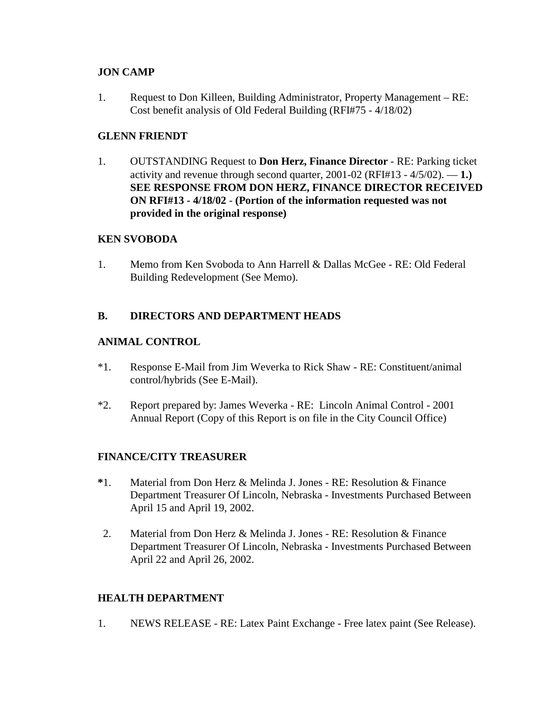#### **JON CAMP**

1. Request to Don Killeen, Building Administrator, Property Management – RE: Cost benefit analysis of Old Federal Building (RFI#75 - 4/18/02)

## **GLENN FRIENDT**

1. OUTSTANDING Request to **Don Herz, Finance Director** - RE: Parking ticket activity and revenue through second quarter,  $2001-02$  (RFI#13 -  $4/5/02$ ).  $-1$ .) **SEE RESPONSE FROM DON HERZ, FINANCE DIRECTOR RECEIVED ON RFI#13 - 4/18/02** - **(Portion of the information requested was not provided in the original response)** 

#### **KEN SVOBODA**

1. Memo from Ken Svoboda to Ann Harrell & Dallas McGee - RE: Old Federal Building Redevelopment (See Memo).

# **B. DIRECTORS AND DEPARTMENT HEADS**

## **ANIMAL CONTROL**

- \*1. Response E-Mail from Jim Weverka to Rick Shaw RE: Constituent/animal control/hybrids (See E-Mail).
- \*2. Report prepared by: James Weverka RE: Lincoln Animal Control 2001 Annual Report (Copy of this Report is on file in the City Council Office)

#### **FINANCE/CITY TREASURER**

- **\***1. Material from Don Herz & Melinda J. Jones RE: Resolution & Finance Department Treasurer Of Lincoln, Nebraska - Investments Purchased Between April 15 and April 19, 2002.
- 2. Material from Don Herz & Melinda J. Jones RE: Resolution & Finance Department Treasurer Of Lincoln, Nebraska - Investments Purchased Between April 22 and April 26, 2002.

#### **HEALTH DEPARTMENT**

1. NEWS RELEASE - RE: Latex Paint Exchange - Free latex paint (See Release).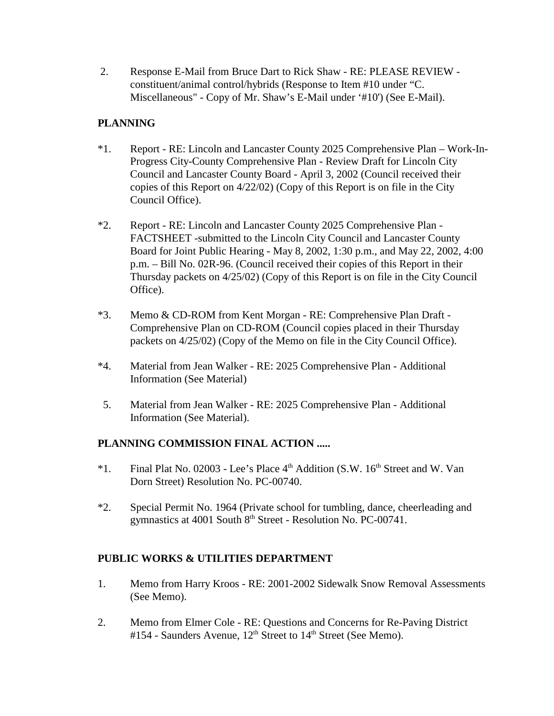2. Response E-Mail from Bruce Dart to Rick Shaw - RE: PLEASE REVIEW constituent/animal control/hybrids (Response to Item #10 under "C. Miscellaneous" - Copy of Mr. Shaw's E-Mail under '#10') (See E-Mail).

# **PLANNING**

- \*1. Report RE: Lincoln and Lancaster County 2025 Comprehensive Plan Work-In-Progress City-County Comprehensive Plan - Review Draft for Lincoln City Council and Lancaster County Board - April 3, 2002 (Council received their copies of this Report on 4/22/02) (Copy of this Report is on file in the City Council Office).
- \*2. Report RE: Lincoln and Lancaster County 2025 Comprehensive Plan FACTSHEET -submitted to the Lincoln City Council and Lancaster County Board for Joint Public Hearing - May 8, 2002, 1:30 p.m., and May 22, 2002, 4:00 p.m. – Bill No. 02R-96. (Council received their copies of this Report in their Thursday packets on 4/25/02) (Copy of this Report is on file in the City Council Office).
- \*3. Memo & CD-ROM from Kent Morgan RE: Comprehensive Plan Draft Comprehensive Plan on CD-ROM (Council copies placed in their Thursday packets on 4/25/02) (Copy of the Memo on file in the City Council Office).
- \*4. Material from Jean Walker RE: 2025 Comprehensive Plan Additional Information (See Material)
- 5. Material from Jean Walker RE: 2025 Comprehensive Plan Additional Information (See Material).

# **PLANNING COMMISSION FINAL ACTION .....**

- \*1. Final Plat No. 02003 Lee's Place  $4<sup>th</sup>$  Addition (S.W. 16<sup>th</sup> Street and W. Van Dorn Street) Resolution No. PC-00740.
- \*2. Special Permit No. 1964 (Private school for tumbling, dance, cheerleading and gymnastics at 4001 South 8<sup>th</sup> Street - Resolution No. PC-00741.

# **PUBLIC WORKS & UTILITIES DEPARTMENT**

- 1. Memo from Harry Kroos RE: 2001-2002 Sidewalk Snow Removal Assessments (See Memo).
- 2. Memo from Elmer Cole RE: Questions and Concerns for Re-Paving District #154 - Saunders Avenue,  $12^{th}$  Street to  $14^{th}$  Street (See Memo).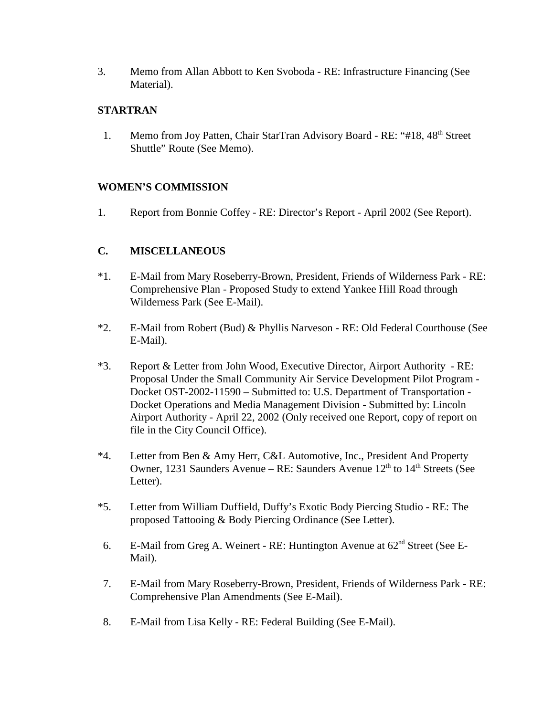3. Memo from Allan Abbott to Ken Svoboda - RE: Infrastructure Financing (See Material).

#### **STARTRAN**

1. Memo from Joy Patten, Chair StarTran Advisory Board - RE: "#18, 48<sup>th</sup> Street Shuttle" Route (See Memo).

#### **WOMEN'S COMMISSION**

1. Report from Bonnie Coffey - RE: Director's Report - April 2002 (See Report).

## **C. MISCELLANEOUS**

- \*1. E-Mail from Mary Roseberry-Brown, President, Friends of Wilderness Park RE: Comprehensive Plan - Proposed Study to extend Yankee Hill Road through Wilderness Park (See E-Mail).
- \*2. E-Mail from Robert (Bud) & Phyllis Narveson RE: Old Federal Courthouse (See E-Mail).
- \*3. Report & Letter from John Wood, Executive Director, Airport Authority RE: Proposal Under the Small Community Air Service Development Pilot Program - Docket OST-2002-11590 – Submitted to: U.S. Department of Transportation - Docket Operations and Media Management Division - Submitted by: Lincoln Airport Authority - April 22, 2002 (Only received one Report, copy of report on file in the City Council Office).
- \*4. Letter from Ben & Amy Herr, C&L Automotive, Inc., President And Property Owner, 1231 Saunders Avenue – RE: Saunders Avenue  $12<sup>th</sup>$  to  $14<sup>th</sup>$  Streets (See Letter).
- \*5. Letter from William Duffield, Duffy's Exotic Body Piercing Studio RE: The proposed Tattooing & Body Piercing Ordinance (See Letter).
- 6. E-Mail from Greg A. Weinert RE: Huntington Avenue at 62nd Street (See E-Mail).
- 7. E-Mail from Mary Roseberry-Brown, President, Friends of Wilderness Park RE: Comprehensive Plan Amendments (See E-Mail).
- 8. E-Mail from Lisa Kelly RE: Federal Building (See E-Mail).